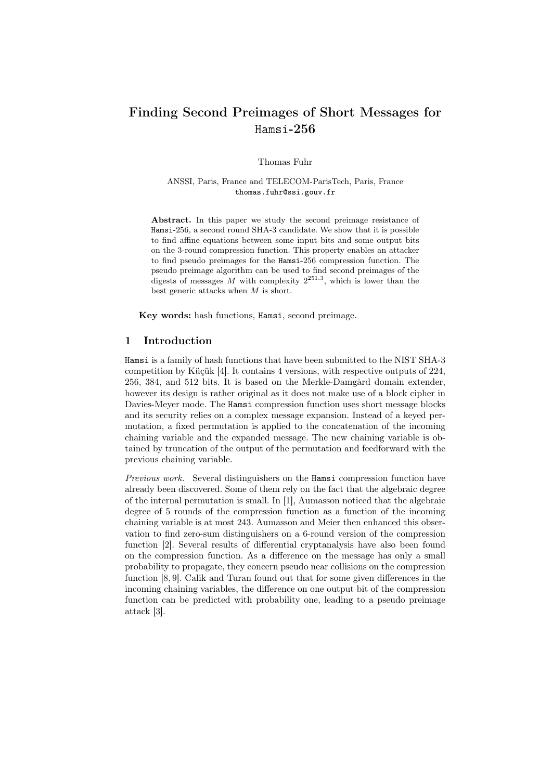# Finding Second Preimages of Short Messages for Hamsi-256

Thomas Fuhr

ANSSI, Paris, France and TELECOM-ParisTech, Paris, France thomas.fuhr@ssi.gouv.fr

Abstract. In this paper we study the second preimage resistance of Hamsi-256, a second round SHA-3 candidate. We show that it is possible to find affine equations between some input bits and some output bits on the 3-round compression function. This property enables an attacker to find pseudo preimages for the Hamsi-256 compression function. The pseudo preimage algorithm can be used to find second preimages of the digests of messages M with complexity  $2^{251.3}$ , which is lower than the best generic attacks when  $M$  is short.

Key words: hash functions, Hamsi, second preimage.

## 1 Introduction

Hamsi is a family of hash functions that have been submitted to the NIST SHA-3 competition by Küçük [4]. It contains 4 versions, with respective outputs of 224, 256, 384, and 512 bits. It is based on the Merkle-Damgård domain extender, however its design is rather original as it does not make use of a block cipher in Davies-Meyer mode. The Hamsi compression function uses short message blocks and its security relies on a complex message expansion. Instead of a keyed permutation, a fixed permutation is applied to the concatenation of the incoming chaining variable and the expanded message. The new chaining variable is obtained by truncation of the output of the permutation and feedforward with the previous chaining variable.

Previous work. Several distinguishers on the Hamsi compression function have already been discovered. Some of them rely on the fact that the algebraic degree of the internal permutation is small. In [1], Aumasson noticed that the algebraic degree of 5 rounds of the compression function as a function of the incoming chaining variable is at most 243. Aumasson and Meier then enhanced this observation to find zero-sum distinguishers on a 6-round version of the compression function [2]. Several results of differential cryptanalysis have also been found on the compression function. As a difference on the message has only a small probability to propagate, they concern pseudo near collisions on the compression function [8, 9]. Calik and Turan found out that for some given differences in the incoming chaining variables, the difference on one output bit of the compression function can be predicted with probability one, leading to a pseudo preimage attack [3].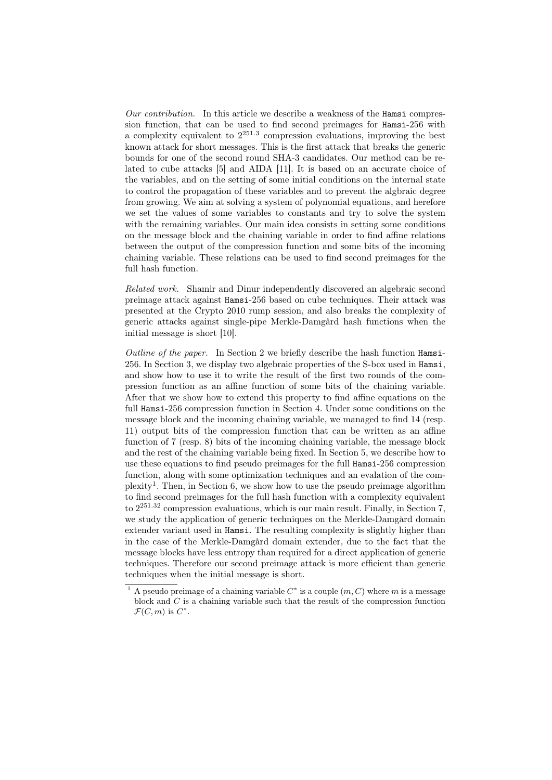Our contribution. In this article we describe a weakness of the Hamsi compression function, that can be used to find second preimages for Hamsi-256 with a complexity equivalent to 2 251.3 compression evaluations, improving the best known attack for short messages. This is the first attack that breaks the generic bounds for one of the second round SHA-3 candidates. Our method can be related to cube attacks [5] and AIDA [11]. It is based on an accurate choice of the variables, and on the setting of some initial conditions on the internal state to control the propagation of these variables and to prevent the algbraic degree from growing. We aim at solving a system of polynomial equations, and herefore we set the values of some variables to constants and try to solve the system with the remaining variables. Our main idea consists in setting some conditions on the message block and the chaining variable in order to find affine relations between the output of the compression function and some bits of the incoming chaining variable. These relations can be used to find second preimages for the full hash function.

Related work. Shamir and Dinur independently discovered an algebraic second preimage attack against Hamsi-256 based on cube techniques. Their attack was presented at the Crypto 2010 rump session, and also breaks the complexity of generic attacks against single-pipe Merkle-Damgård hash functions when the initial message is short [10].

Outline of the paper. In Section 2 we briefly describe the hash function Hamsi-256. In Section 3, we display two algebraic properties of the S-box used in Hamsi, and show how to use it to write the result of the first two rounds of the compression function as an affine function of some bits of the chaining variable. After that we show how to extend this property to find affine equations on the full Hamsi-256 compression function in Section 4. Under some conditions on the message block and the incoming chaining variable, we managed to find 14 (resp. 11) output bits of the compression function that can be written as an affine function of 7 (resp. 8) bits of the incoming chaining variable, the message block and the rest of the chaining variable being fixed. In Section 5, we describe how to use these equations to find pseudo preimages for the full Hamsi-256 compression function, along with some optimization techniques and an evalation of the complexity<sup>1</sup>. Then, in Section 6, we show how to use the pseudo preimage algorithm to find second preimages for the full hash function with a complexity equivalent to 2 <sup>251</sup>.<sup>32</sup> compression evaluations, which is our main result. Finally, in Section 7, we study the application of generic techniques on the Merkle-Damgård domain extender variant used in Hamsi. The resulting complexity is slightly higher than in the case of the Merkle-Damgård domain extender, due to the fact that the message blocks have less entropy than required for a direct application of generic techniques. Therefore our second preimage attack is more efficient than generic techniques when the initial message is short.

<sup>&</sup>lt;sup>1</sup> A pseudo preimage of a chaining variable  $C^*$  is a couple  $(m, C)$  where m is a message block and  $C$  is a chaining variable such that the result of the compression function  $\mathcal{F}(C,m)$  is  $C^*$ .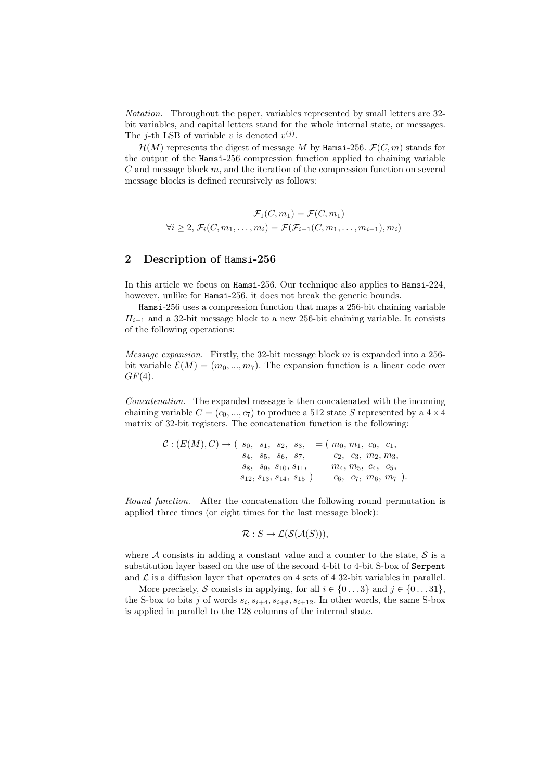Notation. Throughout the paper, variables represented by small letters are 32 bit variables, and capital letters stand for the whole internal state, or messages. The *j*-th LSB of variable v is denoted  $v^{(j)}$ .

 $\mathcal{H}(M)$  represents the digest of message M by Hamsi-256.  $\mathcal{F}(C,m)$  stands for the output of the Hamsi-256 compression function applied to chaining variable  $C$  and message block  $m$ , and the iteration of the compression function on several message blocks is defined recursively as follows:

$$
\mathcal{F}_1(C, m_1) = \mathcal{F}(C, m_1)
$$
  

$$
\forall i \ge 2, \mathcal{F}_i(C, m_1, \dots, m_i) = \mathcal{F}(\mathcal{F}_{i-1}(C, m_1, \dots, m_{i-1}), m_i)
$$

## 2 Description of Hamsi-256

In this article we focus on Hamsi-256. Our technique also applies to Hamsi-224, however, unlike for Hamsi-256, it does not break the generic bounds.

Hamsi-256 uses a compression function that maps a 256-bit chaining variable  $H_{i-1}$  and a 32-bit message block to a new 256-bit chaining variable. It consists of the following operations:

Message expansion. Firstly, the 32-bit message block m is expanded into a 256 bit variable  $\mathcal{E}(M) = (m_0, ..., m_7)$ . The expansion function is a linear code over  $GF(4)$ .

Concatenation. The expanded message is then concatenated with the incoming chaining variable  $C = (c_0, ..., c_7)$  to produce a 512 state S represented by a  $4 \times 4$ matrix of 32-bit registers. The concatenation function is the following:

$$
C: (E(M), C) \rightarrow (s_0, s_1, s_2, s_3, = (m_0, m_1, c_0, c_1, s_4, s_5, s_6, s_7, c_2, c_3, m_2, m_3, s_8, s_9, s_{10}, s_{11}, m_4, m_5, c_4, c_5, s_{12}, s_{13}, s_{14}, s_{15}) c_6, c_7, m_6, m_7).
$$

Round function. After the concatenation the following round permutation is applied three times (or eight times for the last message block):

$$
\mathcal{R}: S \to \mathcal{L}(\mathcal{S}(\mathcal{A}(S))),
$$

where A consists in adding a constant value and a counter to the state,  $S$  is a substitution layer based on the use of the second 4-bit to 4-bit S-box of Serpent and  $\mathcal L$  is a diffusion layer that operates on 4 sets of 4 32-bit variables in parallel.

More precisely, S consists in applying, for all  $i \in \{0...3\}$  and  $j \in \{0...31\}$ , the S-box to bits j of words  $s_i, s_{i+4}, s_{i+8}, s_{i+12}$ . In other words, the same S-box is applied in parallel to the 128 columns of the internal state.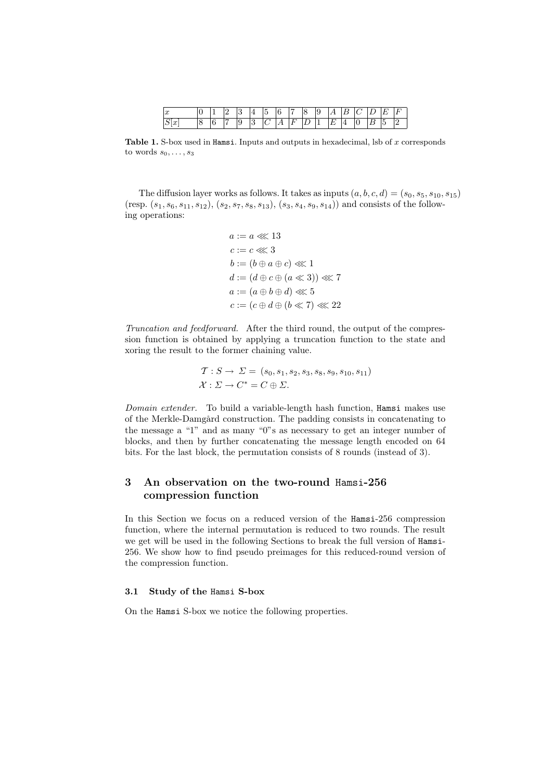| u                   |    | $\sim$               | -     |        |   | ٠.       | - | $\sim$ |   |  |
|---------------------|----|----------------------|-------|--------|---|----------|---|--------|---|--|
| $\overline{u}$<br>◡ | л. | $\ddot{\phantom{a}}$ | <br>◡ | -<br>- | - | <b>.</b> | - | ∼      | - |  |

Table 1. S-box used in Hamsi. Inputs and outputs in hexadecimal, lsb of  $x$  corresponds to words  $s_0, \ldots, s_3$ 

The diffusion layer works as follows. It takes as inputs  $(a, b, c, d) = (s_0, s_5, s_{10}, s_{15})$ (resp.  $(s_1, s_6, s_{11}, s_{12}), (s_2, s_7, s_8, s_{13}), (s_3, s_4, s_9, s_{14})$ ) and consists of the following operations:

$$
a := a \lll 13
$$
  
\n
$$
c := c \lll 3
$$
  
\n
$$
b := (b \oplus a \oplus c) \lll 1
$$
  
\n
$$
d := (d \oplus c \oplus (a \ll 3)) \lll 7
$$
  
\n
$$
a := (a \oplus b \oplus d) \lll 5
$$
  
\n
$$
c := (c \oplus d \oplus (b \ll 7) \lll 22
$$

Truncation and feedforward. After the third round, the output of the compression function is obtained by applying a truncation function to the state and xoring the result to the former chaining value.

$$
\mathcal{T}: S \to \Sigma = (s_0, s_1, s_2, s_3, s_8, s_9, s_{10}, s_{11})
$$
  

$$
\mathcal{X}: \Sigma \to C^* = C \oplus \Sigma.
$$

Domain extender. To build a variable-length hash function, Hamsi makes use of the Merkle-Damgård construction. The padding consists in concatenating to the message a "1" and as many "0"s as necessary to get an integer number of blocks, and then by further concatenating the message length encoded on 64 bits. For the last block, the permutation consists of 8 rounds (instead of 3).

## 3 An observation on the two-round Hamsi-256 compression function

In this Section we focus on a reduced version of the Hamsi-256 compression function, where the internal permutation is reduced to two rounds. The result we get will be used in the following Sections to break the full version of Hamsi-256. We show how to find pseudo preimages for this reduced-round version of the compression function.

## 3.1 Study of the Hamsi S-box

On the Hamsi S-box we notice the following properties.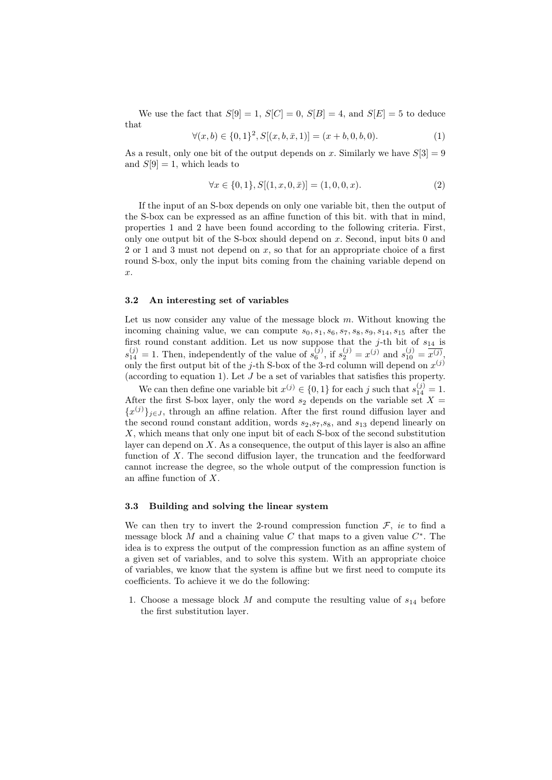We use the fact that  $S[9] = 1$ ,  $S[C] = 0$ ,  $S[B] = 4$ , and  $S[E] = 5$  to deduce that

$$
\forall (x, b) \in \{0, 1\}^2, S[(x, b, \bar{x}, 1)] = (x + b, 0, b, 0). \tag{1}
$$

As a result, only one bit of the output depends on x. Similarly we have  $S[3] = 9$ and  $S[9] = 1$ , which leads to

$$
\forall x \in \{0, 1\}, S[(1, x, 0, \bar{x})] = (1, 0, 0, x). \tag{2}
$$

If the input of an S-box depends on only one variable bit, then the output of the S-box can be expressed as an affine function of this bit. with that in mind, properties 1 and 2 have been found according to the following criteria. First, only one output bit of the S-box should depend on  $x$ . Second, input bits 0 and 2 or 1 and 3 must not depend on  $x$ , so that for an appropriate choice of a first round S-box, only the input bits coming from the chaining variable depend on  $\hat{x}$ .

### 3.2 An interesting set of variables

Let us now consider any value of the message block  $m$ . Without knowing the incoming chaining value, we can compute  $s_0, s_1, s_6, s_7, s_8, s_9, s_{14}, s_{15}$  after the first round constant addition. Let us now suppose that the  $j$ -th bit of  $s_{14}$  is  $s_{14}^{(j)} = 1$ . Then, independently of the value of  $s_6^{(j)}$ , if  $s_2^{(j)} = x^{(j)}$  and  $s_{10}^{(j)} = \overline{x^{(j)}}$ . only the first output bit of the j-th S-box of the 3-rd column will depend on  $x^{(j)}$ (according to equation 1). Let J be a set of variables that satisfies this property.

We can then define one variable bit  $x^{(j)} \in \{0,1\}$  for each j such that  $s_{14}^{(j)} = 1$ . After the first S-box layer, only the word  $s_2$  depends on the variable set  $X =$  ${x^{(j)}}_{j\in J}$ , through an affine relation. After the first round diffusion layer and the second round constant addition, words  $s_2, s_7, s_8$ , and  $s_{13}$  depend linearly on X, which means that only one input bit of each S-box of the second substitution layer can depend on  $X$ . As a consequence, the output of this layer is also an affine function of X. The second diffusion layer, the truncation and the feedforward cannot increase the degree, so the whole output of the compression function is an affine function of X.

## 3.3 Building and solving the linear system

We can then try to invert the 2-round compression function  $\mathcal{F}$ , *ie* to find a message block M and a chaining value C that maps to a given value  $C^*$ . The idea is to express the output of the compression function as an affine system of a given set of variables, and to solve this system. With an appropriate choice of variables, we know that the system is affine but we first need to compute its coefficients. To achieve it we do the following:

1. Choose a message block M and compute the resulting value of  $s_{14}$  before the first substitution layer.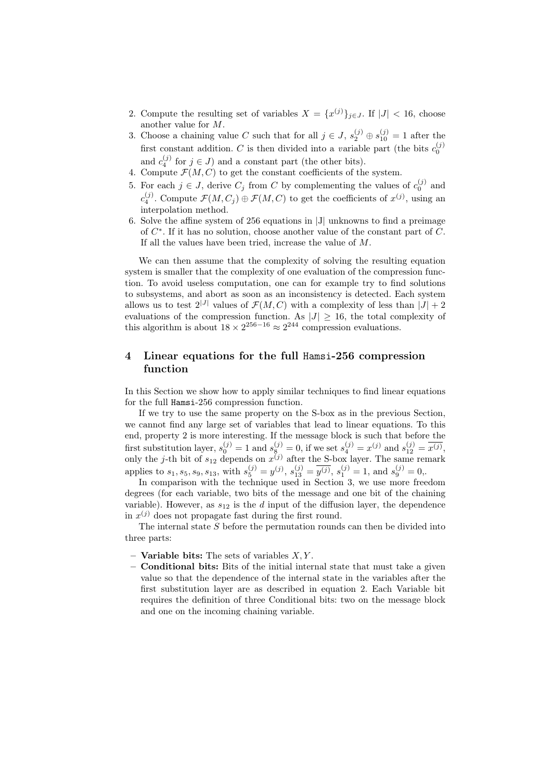- 2. Compute the resulting set of variables  $X = \{x^{(j)}\}_{j \in J}$ . If  $|J| < 16$ , choose another value for M.
- 3. Choose a chaining value C such that for all  $j \in J$ ,  $s_2^{(j)} \oplus s_{10}^{(j)} = 1$  after the first constant addition. C is then divided into a variable part (the bits  $c_0^{(j)}$ ) and  $c_4^{(j)}$  for  $j \in J$ ) and a constant part (the other bits).
- 4. Compute  $\mathcal{F}(M, C)$  to get the constant coefficients of the system.
- 5. For each  $j \in J$ , derive  $C_j$  from C by complementing the values of  $c_0^{(j)}$  and  $c_4^{(j)}$ . Compute  $\mathcal{F}(M, C_j) \oplus \mathcal{F}(M, C)$  to get the coefficients of  $x^{(j)}$ , using an interpolation method.
- 6. Solve the affine system of 256 equations in |J| unknowns to find a preimage of  $C^*$ . If it has no solution, choose another value of the constant part of  $C$ . If all the values have been tried, increase the value of M.

We can then assume that the complexity of solving the resulting equation system is smaller that the complexity of one evaluation of the compression function. To avoid useless computation, one can for example try to find solutions to subsystems, and abort as soon as an inconsistency is detected. Each system allows us to test  $2^{|J|}$  values of  $\mathcal{F}(M, C)$  with a complexity of less than  $|J| + 2$ evaluations of the compression function. As  $|J| \geq 16$ , the total complexity of this algorithm is about  $18 \times 2^{256-16} \approx 2^{244}$  compression evaluations.

## 4 Linear equations for the full Hamsi-256 compression function

In this Section we show how to apply similar techniques to find linear equations for the full Hamsi-256 compression function.

If we try to use the same property on the S-box as in the previous Section, we cannot find any large set of variables that lead to linear equations. To this end, property 2 is more interesting. If the message block is such that before the first substitution layer,  $s_0^{(j)} = 1$  and  $s_8^{(j)} = 0$ , if we set  $s_4^{(j)} = x^{(j)}$  and  $s_{12}^{(j)} = \overline{x^{(j)}},$ only the *j*-th bit of  $s_{12}$  depends on  $x^{(j)}$  after the S-box layer. The same remark applies to  $s_1, s_5, s_9, s_{13}$ , with  $s_5^{(j)} = y^{(j)}$ ,  $s_{13}^{(j)} = \overline{y^{(j)}}$ ,  $s_1^{(j)} = 1$ , and  $s_9^{(j)} = 0$ ,.

In comparison with the technique used in Section 3, we use more freedom degrees (for each variable, two bits of the message and one bit of the chaining variable). However, as  $s_{12}$  is the d input of the diffusion layer, the dependence in  $x^{(j)}$  does not propagate fast during the first round.

The internal state S before the permutation rounds can then be divided into three parts:

- **Variable bits:** The sets of variables  $X, Y$ .
- Conditional bits: Bits of the initial internal state that must take a given value so that the dependence of the internal state in the variables after the first substitution layer are as described in equation 2. Each Variable bit requires the definition of three Conditional bits: two on the message block and one on the incoming chaining variable.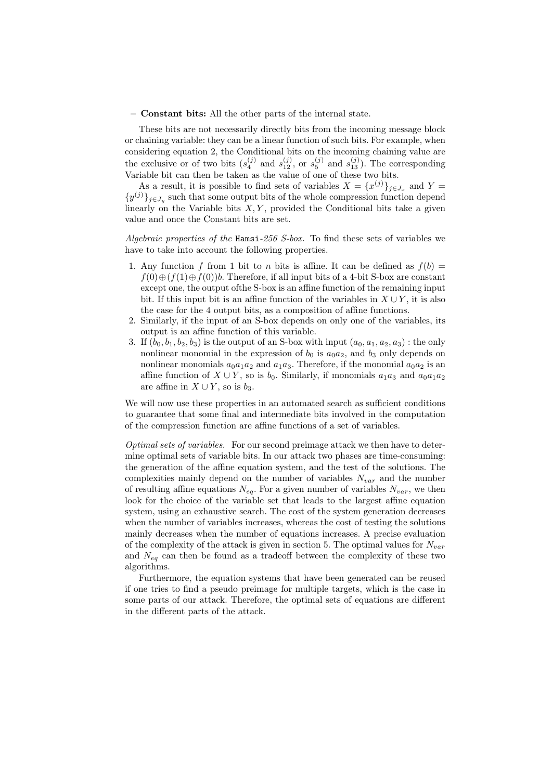#### – Constant bits: All the other parts of the internal state.

These bits are not necessarily directly bits from the incoming message block or chaining variable: they can be a linear function of such bits. For example, when considering equation 2, the Conditional bits on the incoming chaining value are the exclusive or of two bits  $(s_4^{(j)}$  and  $s_{12}^{(j)}$ , or  $s_5^{(j)}$  and  $s_{13}^{(j)}$ ). The corresponding Variable bit can then be taken as the value of one of these two bits.

As a result, it is possible to find sets of variables  $X = \{x^{(j)}\}_{j \in J_x}$  and  $Y =$  $\{y^{(j)}\}_{j\in J_y}$  such that some output bits of the whole compression function depend linearly on the Variable bits  $X, Y$ , provided the Conditional bits take a given value and once the Constant bits are set.

Algebraic properties of the Hamsi-256 S-box. To find these sets of variables we have to take into account the following properties.

- 1. Any function f from 1 bit to n bits is affine. It can be defined as  $f(b) =$  $f(0) \oplus (f(1) \oplus f(0))$ b. Therefore, if all input bits of a 4-bit S-box are constant except one, the output ofthe S-box is an affine function of the remaining input bit. If this input bit is an affine function of the variables in  $X \cup Y$ , it is also the case for the 4 output bits, as a composition of affine functions.
- 2. Similarly, if the input of an S-box depends on only one of the variables, its output is an affine function of this variable.
- 3. If  $(b_0, b_1, b_2, b_3)$  is the output of an S-box with input  $(a_0, a_1, a_2, a_3)$ : the only nonlinear monomial in the expression of  $b_0$  is  $a_0a_2$ , and  $b_3$  only depends on nonlinear monomials  $a_0a_1a_2$  and  $a_1a_3$ . Therefore, if the monomial  $a_0a_2$  is an affine function of  $X \cup Y$ , so is  $b_0$ . Similarly, if monomials  $a_1a_3$  and  $a_0a_1a_2$ are affine in  $X \cup Y$ , so is  $b_3$ .

We will now use these properties in an automated search as sufficient conditions to guarantee that some final and intermediate bits involved in the computation of the compression function are affine functions of a set of variables.

Optimal sets of variables. For our second preimage attack we then have to determine optimal sets of variable bits. In our attack two phases are time-consuming: the generation of the affine equation system, and the test of the solutions. The complexities mainly depend on the number of variables  $N_{var}$  and the number of resulting affine equations  $N_{eq}$ . For a given number of variables  $N_{var}$ , we then look for the choice of the variable set that leads to the largest affine equation system, using an exhaustive search. The cost of the system generation decreases when the number of variables increases, whereas the cost of testing the solutions mainly decreases when the number of equations increases. A precise evaluation of the complexity of the attack is given in section 5. The optimal values for  $N_{var}$ and  $N_{eq}$  can then be found as a tradeoff between the complexity of these two algorithms.

Furthermore, the equation systems that have been generated can be reused if one tries to find a pseudo preimage for multiple targets, which is the case in some parts of our attack. Therefore, the optimal sets of equations are different in the different parts of the attack.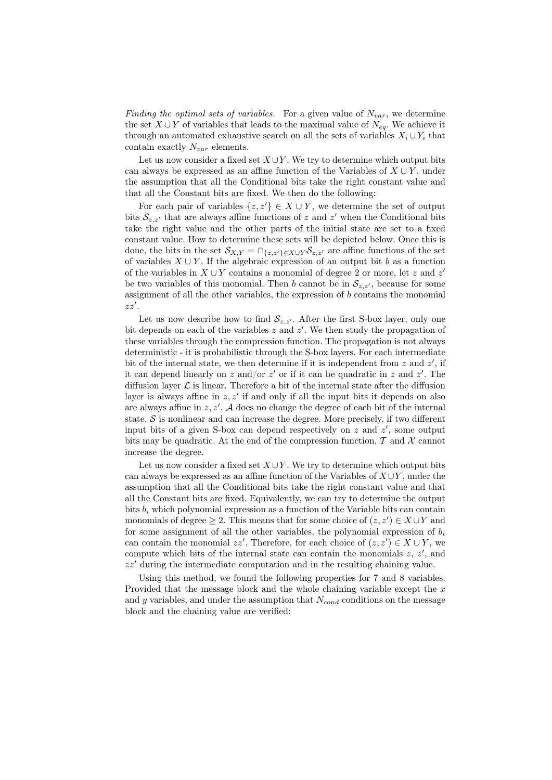Finding the optimal sets of variables. For a given value of  $N_{var}$ , we determine the set  $X \cup Y$  of variables that leads to the maximal value of  $N_{eq}$ . We achieve it through an automated exhaustive search on all the sets of variables  $X_i \cup Y_i$  that contain exactly  $N_{var}$  elements.

Let us now consider a fixed set  $X \cup Y$ . We try to determine which output bits can always be expressed as an affine function of the Variables of  $X \cup Y$ , under the assumption that all the Conditional bits take the right constant value and that all the Constant bits are fixed. We then do the following:

For each pair of variables  $\{z, z'\} \in X \cup Y$ , we determine the set of output bits  $S_{z,z'}$  that are always affine functions of z and z' when the Conditional bits take the right value and the other parts of the initial state are set to a fixed constant value. How to determine these sets will be depicted below. Once this is done, the bits in the set  $S_{X,Y} = \bigcap_{\{z,z'\}\in X\cup Y} S_{z,z'}$  are affine functions of the set of variables  $X \cup Y$ . If the algebraic expression of an output bit b as a function of the variables in  $X \cup Y$  contains a monomial of degree 2 or more, let z and z' be two variables of this monomial. Then b cannot be in  $\mathcal{S}_{z,z'}$ , because for some assignment of all the other variables, the expression of b contains the monomial  $zz'$ .

Let us now describe how to find  $S_{z,z'}$ . After the first S-box layer, only one bit depends on each of the variables  $z$  and  $z'$ . We then study the propagation of these variables through the compression function. The propagation is not always deterministic - it is probabilistic through the S-box layers. For each intermediate bit of the internal state, we then determine if it is independent from  $z$  and  $z'$ , if it can depend linearly on z and/or  $z'$  or if it can be quadratic in z and  $z'$ . The diffusion layer  $\mathcal L$  is linear. Therefore a bit of the internal state after the diffusion layer is always affine in  $z, z'$  if and only if all the input bits it depends on also are always affine in  $z, z'$ . A does no change the degree of each bit of the internal state.  $S$  is nonlinear and can increase the degree. More precisely, if two different input bits of a given S-box can depend respectively on  $z$  and  $z'$ , some output bits may be quadratic. At the end of the compression function,  $\mathcal T$  and  $\mathcal X$  cannot increase the degree.

Let us now consider a fixed set  $X \cup Y$ . We try to determine which output bits can always be expressed as an affine function of the Variables of  $X \cup Y$ , under the assumption that all the Conditional bits take the right constant value and that all the Constant bits are fixed. Equivalently, we can try to determine the output bits  $b_i$  which polynomial expression as a function of the Variable bits can contain monomials of degree  $\geq 2$ . This means that for some choice of  $(z, z') \in X \cup Y$  and for some assignment of all the other variables, the polynomial expression of  $b_i$ can contain the monomial  $zz'$ . Therefore, for each choice of  $(z, z') \in X \cup Y$ , we compute which bits of the internal state can contain the monomials  $z, z'$ , and  $zz'$  during the intermediate computation and in the resulting chaining value.

Using this method, we found the following properties for 7 and 8 variables. Provided that the message block and the whole chaining variable except the  $x$ and y variables, and under the assumption that  $N_{cond}$  conditions on the message block and the chaining value are verified: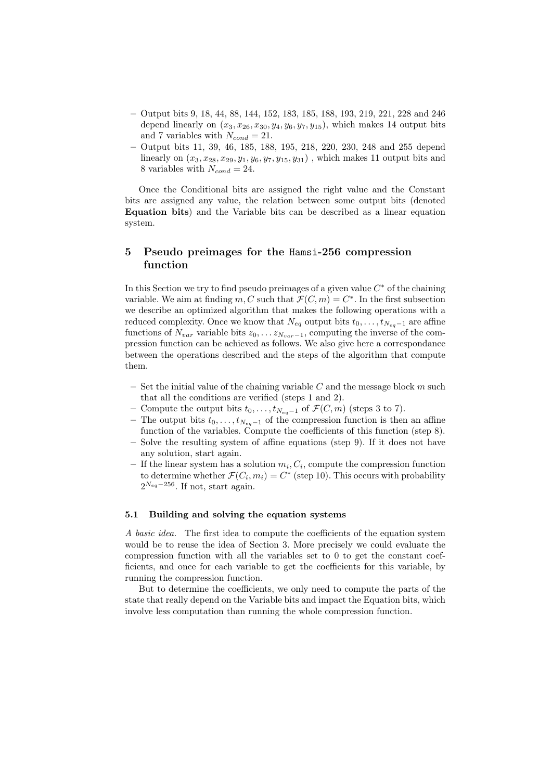- Output bits 9, 18, 44, 88, 144, 152, 183, 185, 188, 193, 219, 221, 228 and 246 depend linearly on  $(x_3, x_{26}, x_{30}, y_4, y_6, y_7, y_{15})$ , which makes 14 output bits and 7 variables with  $N_{cond} = 21$ .
- Output bits 11, 39, 46, 185, 188, 195, 218, 220, 230, 248 and 255 depend linearly on  $(x_3, x_{28}, x_{29}, y_1, y_6, y_7, y_{15}, y_{31})$ , which makes 11 output bits and 8 variables with  $N_{cond} = 24$ .

Once the Conditional bits are assigned the right value and the Constant bits are assigned any value, the relation between some output bits (denoted Equation bits) and the Variable bits can be described as a linear equation system.

## 5 Pseudo preimages for the Hamsi-256 compression function

In this Section we try to find pseudo preimages of a given value  $C^*$  of the chaining variable. We aim at finding m, C such that  $\mathcal{F}(C,m) = C^*$ . In the first subsection we describe an optimized algorithm that makes the following operations with a reduced complexity. Once we know that  $N_{eq}$  output bits  $t_0, \ldots, t_{N_{eq}-1}$  are affine functions of  $N_{var}$  variable bits  $z_0, \ldots z_{N_{var}-1}$ , computing the inverse of the compression function can be achieved as follows. We also give here a correspondance between the operations described and the steps of the algorithm that compute them.

- Set the initial value of the chaining variable C and the message block m such that all the conditions are verified (steps 1 and 2).
- Compute the output bits  $t_0, \ldots, t_{N_{eq}-1}$  of  $\mathcal{F}(C, m)$  (steps 3 to 7).
- The output bits  $t_0, \ldots, t_{N_{eq}-1}$  of the compression function is then an affine function of the variables. Compute the coefficients of this function (step 8).
- Solve the resulting system of affine equations (step 9). If it does not have any solution, start again.
- $-$  If the linear system has a solution  $m_i, C_i$ , compute the compression function to determine whether  $\mathcal{F}(C_i, m_i) = C^*$  (step 10). This occurs with probability  $2^{N_{eq}-256}$ . If not, start again.

#### 5.1 Building and solving the equation systems

A basic idea. The first idea to compute the coefficients of the equation system would be to reuse the idea of Section 3. More precisely we could evaluate the compression function with all the variables set to 0 to get the constant coefficients, and once for each variable to get the coefficients for this variable, by running the compression function.

But to determine the coefficients, we only need to compute the parts of the state that really depend on the Variable bits and impact the Equation bits, which involve less computation than running the whole compression function.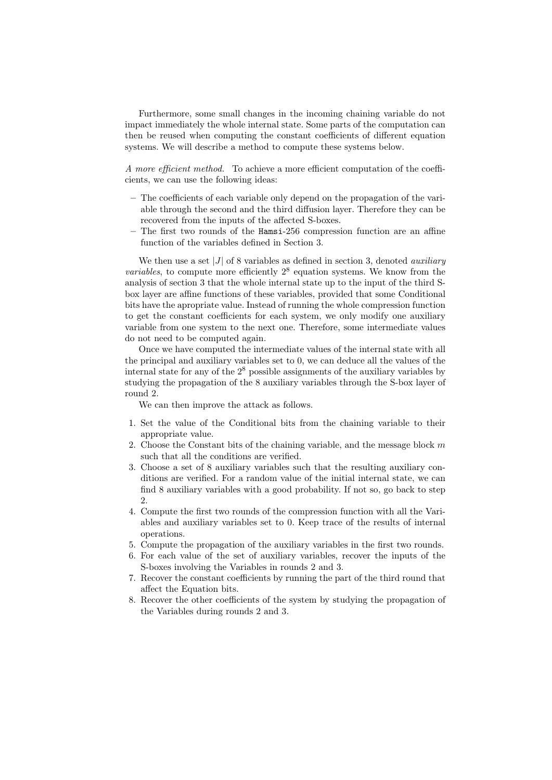Furthermore, some small changes in the incoming chaining variable do not impact immediately the whole internal state. Some parts of the computation can then be reused when computing the constant coefficients of different equation systems. We will describe a method to compute these systems below.

A more efficient method. To achieve a more efficient computation of the coefficients, we can use the following ideas:

- The coefficients of each variable only depend on the propagation of the variable through the second and the third diffusion layer. Therefore they can be recovered from the inputs of the affected S-boxes.
- The first two rounds of the Hamsi-256 compression function are an affine function of the variables defined in Section 3.

We then use a set |J| of 8 variables as defined in section 3, denoted *auxiliary variables*, to compute more efficiently  $2^8$  equation systems. We know from the analysis of section 3 that the whole internal state up to the input of the third Sbox layer are affine functions of these variables, provided that some Conditional bits have the apropriate value. Instead of running the whole compression function to get the constant coefficients for each system, we only modify one auxiliary variable from one system to the next one. Therefore, some intermediate values do not need to be computed again.

Once we have computed the intermediate values of the internal state with all the principal and auxiliary variables set to 0, we can deduce all the values of the internal state for any of the 2 <sup>8</sup> possible assignments of the auxiliary variables by studying the propagation of the 8 auxiliary variables through the S-box layer of round 2.

We can then improve the attack as follows.

- 1. Set the value of the Conditional bits from the chaining variable to their appropriate value.
- 2. Choose the Constant bits of the chaining variable, and the message block  $m$ such that all the conditions are verified.
- 3. Choose a set of 8 auxiliary variables such that the resulting auxiliary conditions are verified. For a random value of the initial internal state, we can find 8 auxiliary variables with a good probability. If not so, go back to step  $\mathcal{D}_{\mathcal{L}}$
- 4. Compute the first two rounds of the compression function with all the Variables and auxiliary variables set to 0. Keep trace of the results of internal operations.
- 5. Compute the propagation of the auxiliary variables in the first two rounds.
- 6. For each value of the set of auxiliary variables, recover the inputs of the S-boxes involving the Variables in rounds 2 and 3.
- 7. Recover the constant coefficients by running the part of the third round that affect the Equation bits.
- 8. Recover the other coefficients of the system by studying the propagation of the Variables during rounds 2 and 3.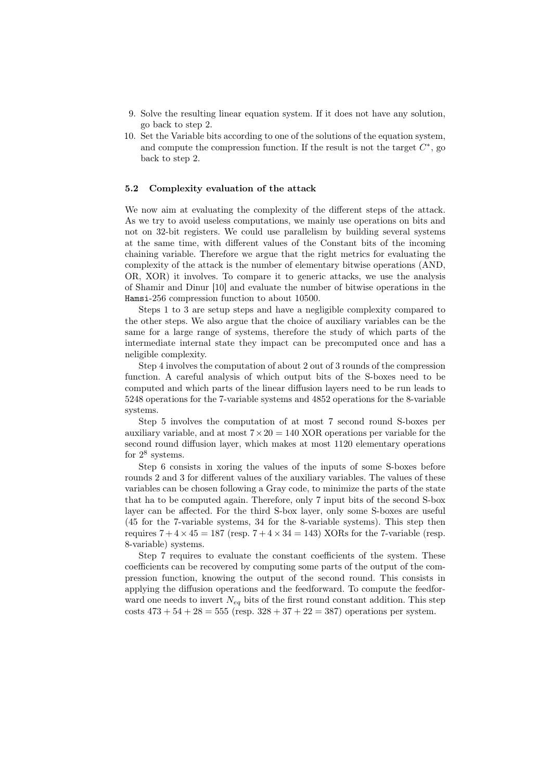- 9. Solve the resulting linear equation system. If it does not have any solution, go back to step 2.
- 10. Set the Variable bits according to one of the solutions of the equation system, and compute the compression function. If the result is not the target  $C^*$ , go back to step 2.

### 5.2 Complexity evaluation of the attack

We now aim at evaluating the complexity of the different steps of the attack. As we try to avoid useless computations, we mainly use operations on bits and not on 32-bit registers. We could use parallelism by building several systems at the same time, with different values of the Constant bits of the incoming chaining variable. Therefore we argue that the right metrics for evaluating the complexity of the attack is the number of elementary bitwise operations (AND, OR, XOR) it involves. To compare it to generic attacks, we use the analysis of Shamir and Dinur [10] and evaluate the number of bitwise operations in the Hamsi-256 compression function to about 10500.

Steps 1 to 3 are setup steps and have a negligible complexity compared to the other steps. We also argue that the choice of auxiliary variables can be the same for a large range of systems, therefore the study of which parts of the intermediate internal state they impact can be precomputed once and has a neligible complexity.

Step 4 involves the computation of about 2 out of 3 rounds of the compression function. A careful analysis of which output bits of the S-boxes need to be computed and which parts of the linear diffusion layers need to be run leads to 5248 operations for the 7-variable systems and 4852 operations for the 8-variable systems.

Step 5 involves the computation of at most 7 second round S-boxes per auxiliary variable, and at most  $7 \times 20 = 140 \text{ XOR operations per variable for the}$ second round diffusion layer, which makes at most 1120 elementary operations for  $2^8$  systems.

Step 6 consists in xoring the values of the inputs of some S-boxes before rounds 2 and 3 for different values of the auxiliary variables. The values of these variables can be chosen following a Gray code, to minimize the parts of the state that ha to be computed again. Therefore, only 7 input bits of the second S-box layer can be affected. For the third S-box layer, only some S-boxes are useful (45 for the 7-variable systems, 34 for the 8-variable systems). This step then requires  $7 + 4 \times 45 = 187$  (resp.  $7 + 4 \times 34 = 143$ ) XORs for the 7-variable (resp. 8-variable) systems.

Step 7 requires to evaluate the constant coefficients of the system. These coefficients can be recovered by computing some parts of the output of the compression function, knowing the output of the second round. This consists in applying the diffusion operations and the feedforward. To compute the feedforward one needs to invert  $N_{eq}$  bits of the first round constant addition. This step costs  $473 + 54 + 28 = 555$  (resp.  $328 + 37 + 22 = 387$ ) operations per system.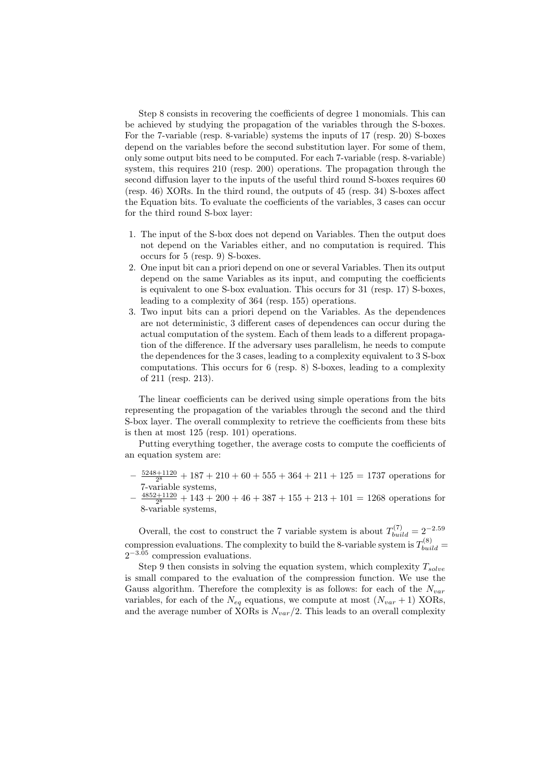Step 8 consists in recovering the coefficients of degree 1 monomials. This can be achieved by studying the propagation of the variables through the S-boxes. For the 7-variable (resp. 8-variable) systems the inputs of 17 (resp. 20) S-boxes depend on the variables before the second substitution layer. For some of them, only some output bits need to be computed. For each 7-variable (resp. 8-variable) system, this requires 210 (resp. 200) operations. The propagation through the second diffusion layer to the inputs of the useful third round S-boxes requires 60 (resp. 46) XORs. In the third round, the outputs of 45 (resp. 34) S-boxes affect the Equation bits. To evaluate the coefficients of the variables, 3 cases can occur for the third round S-box layer:

- 1. The input of the S-box does not depend on Variables. Then the output does not depend on the Variables either, and no computation is required. This occurs for 5 (resp. 9) S-boxes.
- 2. One input bit can a priori depend on one or several Variables. Then its output depend on the same Variables as its input, and computing the coefficients is equivalent to one S-box evaluation. This occurs for 31 (resp. 17) S-boxes, leading to a complexity of 364 (resp. 155) operations.
- 3. Two input bits can a priori depend on the Variables. As the dependences are not deterministic, 3 different cases of dependences can occur during the actual computation of the system. Each of them leads to a different propagation of the difference. If the adversary uses parallelism, he needs to compute the dependences for the 3 cases, leading to a complexity equivalent to 3 S-box computations. This occurs for 6 (resp. 8) S-boxes, leading to a complexity of 211 (resp. 213).

The linear coefficients can be derived using simple operations from the bits representing the propagation of the variables through the second and the third S-box layer. The overall commplexity to retrieve the coefficients from these bits is then at most 125 (resp. 101) operations.

Putting everything together, the average costs to compute the coefficients of an equation system are:

- $-\frac{5248+1120}{2^8}+187+210+60+555+364+211+125=1737$  operations for 7-variable systems,
- $-\frac{4852+1120}{2^8} + 143 + 200 + 46 + 387 + 155 + 213 + 101 = 1268$  operations for 8-variable systems,

Overall, the cost to construct the 7 variable system is about  $T_{build}^{(7)} = 2^{-2.59}$ compression evaluations. The complexity to build the 8-variable system is  $T_{build}^{(8)} =$  $2^{-3.05}$  compression evaluations.

Step 9 then consists in solving the equation system, which complexity  $T_{solve}$ is small compared to the evaluation of the compression function. We use the Gauss algorithm. Therefore the complexity is as follows: for each of the  $N_{var}$ variables, for each of the  $N_{eq}$  equations, we compute at most  $(N_{var} + 1)$  XORs, and the average number of XORs is  $N_{var}/2$ . This leads to an overall complexity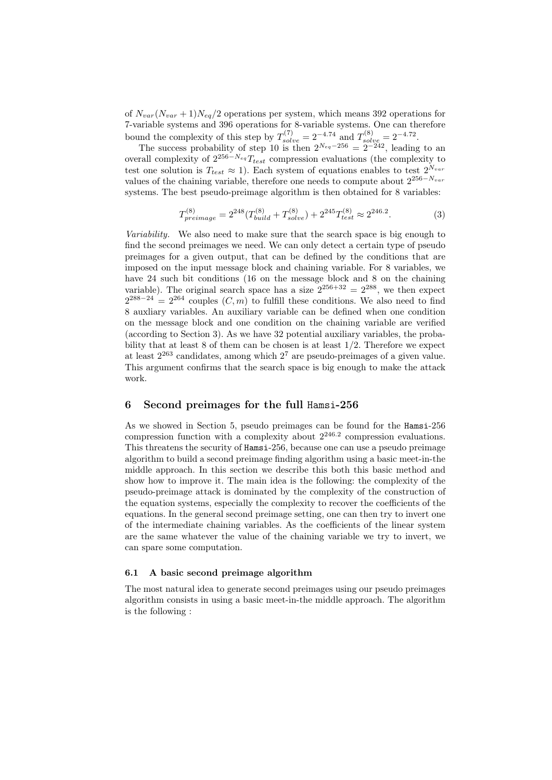of  $N_{var}(N_{var} + 1)N_{eq}/2$  operations per system, which means 392 operations for 7-variable systems and 396 operations for 8-variable systems. One can therefore bound the complexity of this step by  $T_{solve}^{(7)} = 2^{-4.74}$  and  $T_{solve}^{(8)} = 2^{-4.72}$ .

The success probability of step 10 is then  $2^{N_{eq}-256} = 2^{-242}$ , leading to an overall complexity of  $2^{256-N_{eq}}T_{test}$  compression evaluations (the complexity to test one solution is  $T_{test} \approx 1$ ). Each system of equations enables to test  $2^{N_{var}}$ values of the chaining variable, therefore one needs to compute about  $2^{256-N_{var}}$ systems. The best pseudo-preimage algorithm is then obtained for 8 variables:

$$
T_{preimage}^{(8)} = 2^{248} (T_{build}^{(8)} + T_{solve}^{(8)}) + 2^{245} T_{test}^{(8)} \approx 2^{246.2}.
$$
 (3)

Variability. We also need to make sure that the search space is big enough to find the second preimages we need. We can only detect a certain type of pseudo preimages for a given output, that can be defined by the conditions that are imposed on the input message block and chaining variable. For 8 variables, we have 24 such bit conditions (16 on the message block and 8 on the chaining variable). The original search space has a size  $2^{256+32} = 2^{288}$ , we then expect  $2^{288-24} = 2^{264}$  couples  $(C, m)$  to fulfill these conditions. We also need to find 8 auxliary variables. An auxiliary variable can be defined when one condition on the message block and one condition on the chaining variable are verified (according to Section 3). As we have 32 potential auxiliary variables, the probability that at least  $8$  of them can be chosen is at least  $1/2$ . Therefore we expect at least 2 <sup>263</sup> candidates, among which 2 <sup>7</sup> are pseudo-preimages of a given value. This argument confirms that the search space is big enough to make the attack work.

## 6 Second preimages for the full Hamsi-256

As we showed in Section 5, pseudo preimages can be found for the Hamsi-256 compression function with a complexity about  $2^{246.2}$  compression evaluations. This threatens the security of Hamsi-256, because one can use a pseudo preimage algorithm to build a second preimage finding algorithm using a basic meet-in-the middle approach. In this section we describe this both this basic method and show how to improve it. The main idea is the following: the complexity of the pseudo-preimage attack is dominated by the complexity of the construction of the equation systems, especially the complexity to recover the coefficients of the equations. In the general second preimage setting, one can then try to invert one of the intermediate chaining variables. As the coefficients of the linear system are the same whatever the value of the chaining variable we try to invert, we can spare some computation.

#### 6.1 A basic second preimage algorithm

The most natural idea to generate second preimages using our pseudo preimages algorithm consists in using a basic meet-in-the middle approach. The algorithm is the following :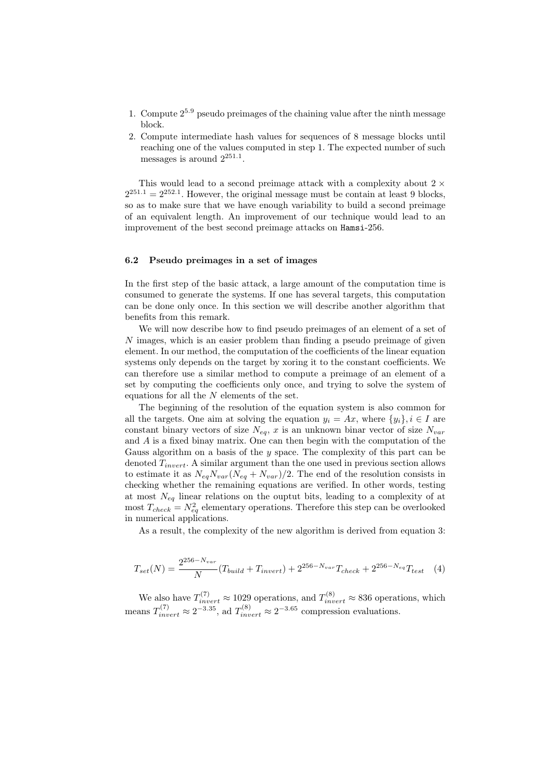- 1. Compute  $2^{5.9}$  pseudo preimages of the chaining value after the ninth message block.
- 2. Compute intermediate hash values for sequences of 8 message blocks until reaching one of the values computed in step 1. The expected number of such messages is around  $2^{251.1}$ .

This would lead to a second preimage attack with a complexity about  $2 \times$  $2^{251.1} = 2^{252.1}$ . However, the original message must be contain at least 9 blocks, so as to make sure that we have enough variability to build a second preimage of an equivalent length. An improvement of our technique would lead to an improvement of the best second preimage attacks on Hamsi-256.

#### 6.2 Pseudo preimages in a set of images

In the first step of the basic attack, a large amount of the computation time is consumed to generate the systems. If one has several targets, this computation can be done only once. In this section we will describe another algorithm that benefits from this remark.

We will now describe how to find pseudo preimages of an element of a set of  $N$  images, which is an easier problem than finding a pseudo preimage of given element. In our method, the computation of the coefficients of the linear equation systems only depends on the target by xoring it to the constant coefficients. We can therefore use a similar method to compute a preimage of an element of a set by computing the coefficients only once, and trying to solve the system of equations for all the  $N$  elements of the set.

The beginning of the resolution of the equation system is also common for all the targets. One aim at solving the equation  $y_i = Ax$ , where  $\{y_i\}, i \in I$  are constant binary vectors of size  $N_{eq}$ , x is an unknown binar vector of size  $N_{var}$ and A is a fixed binay matrix. One can then begin with the computation of the Gauss algorithm on a basis of the  $y$  space. The complexity of this part can be denoted  $T_{invert}$ . A similar argument than the one used in previous section allows to estimate it as  $N_{eq}N_{var}(N_{eq}+N_{var})/2$ . The end of the resolution consists in checking whether the remaining equations are verified. In other words, testing at most  $N_{eq}$  linear relations on the ouptut bits, leading to a complexity of at most  $T_{check} = N_{eq}^2$  elementary operations. Therefore this step can be overlooked in numerical applications.

As a result, the complexity of the new algorithm is derived from equation 3:

$$
T_{set}(N) = \frac{2^{256 - N_{var}}}{N} (T_{build} + T_{invert}) + 2^{256 - N_{var}} T_{check} + 2^{256 - N_{eq}} T_{test} \quad (4)
$$

We also have  $T_{invert}^{(7)} \approx 1029$  operations, and  $T_{invert}^{(8)} \approx 836$  operations, which means  $T_{invert}^{(7)} \approx 2^{-3.35}$ , ad  $T_{invert}^{(8)} \approx 2^{-3.65}$  compression evaluations.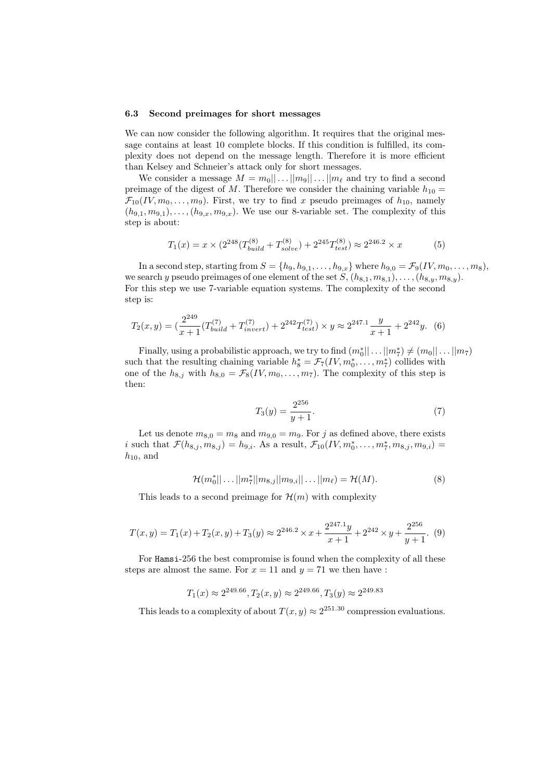#### 6.3 Second preimages for short messages

We can now consider the following algorithm. It requires that the original message contains at least 10 complete blocks. If this condition is fulfilled, its complexity does not depend on the message length. Therefore it is more efficient than Kelsey and Schneier's attack only for short messages.

We consider a message  $M = m_0 || \dots || m_9 || \dots || m_\ell$  and try to find a second preimage of the digest of M. Therefore we consider the chaining variable  $h_{10} =$  $\mathcal{F}_{10}(IV, m_0, \ldots, m_9)$ . First, we try to find x pseudo preimages of  $h_{10}$ , namely  $(h_{9,1}, m_{9,1}), \ldots, (h_{9,x}, m_{9,x}).$  We use our 8-variable set. The complexity of this step is about:

$$
T_1(x) = x \times (2^{248} (T_{build}^{(8)} + T_{solve}^{(8)}) + 2^{245} T_{test}^{(8)}) \approx 2^{246.2} \times x \tag{5}
$$

In a second step, starting from  $S = \{h_9, h_{9,1}, \ldots, h_{9,x}\}\$  where  $h_{9,0} = \mathcal{F}_9(IV, m_0, \ldots, m_8),$ we search y pseudo preimages of one element of the set  $S, (h_{8,1}, m_{8,1}), \ldots, (h_{8,y}, m_{8,y}).$ For this step we use 7-variable equation systems. The complexity of the second step is:

$$
T_2(x,y) = \left(\frac{2^{249}}{x+1}(T_{build}^{(7)} + T_{invert}^{(7)}) + 2^{242}T_{test}^{(7)}\right) \times y \approx 2^{247.1} \frac{y}{x+1} + 2^{242}y. \tag{6}
$$

Finally, using a probabilistic approach, we try to find  $(m_0^*|| \dots || m_7^*) \neq (m_0|| \dots || m_7)$ such that the resulting chaining variable  $h_8^* = \mathcal{F}_7(IV, m_0^*, \ldots, m_7^*)$  collides with one of the  $h_{8,j}$  with  $h_{8,0} = \mathcal{F}_8(IV, m_0, \ldots, m_7)$ . The complexity of this step is then:

$$
T_3(y) = \frac{2^{256}}{y+1}.\tag{7}
$$

Let us denote  $m_{8,0} = m_8$  and  $m_{9,0} = m_9$ . For j as defined above, there exists i such that  $\mathcal{F}(h_{8,j}, m_{8,j}) = h_{9,i}$ . As a result,  $\mathcal{F}_{10}(IV, m_0^*, \ldots, m_7^*, m_{8,j}, m_{9,i}) =$  $h_{10}$ , and

$$
\mathcal{H}(m_0^*||\dots||m_7^*||m_{8,j}||m_{9,i}||\dots||m_\ell) = \mathcal{H}(M). \tag{8}
$$

This leads to a second preimage for  $\mathcal{H}(m)$  with complexity

$$
T(x,y) = T_1(x) + T_2(x,y) + T_3(y) \approx 2^{246.2} \times x + \frac{2^{247.1}y}{x+1} + 2^{242} \times y + \frac{2^{256}}{y+1}.
$$
 (9)

For Hamsi-256 the best compromise is found when the complexity of all these steps are almost the same. For  $x = 11$  and  $y = 71$  we then have :

$$
T_1(x) \approx 2^{249.66}
$$
,  $T_2(x, y) \approx 2^{249.66}$ ,  $T_3(y) \approx 2^{249.83}$ 

This leads to a complexity of about  $T(x, y) \approx 2^{251.30}$  compression evaluations.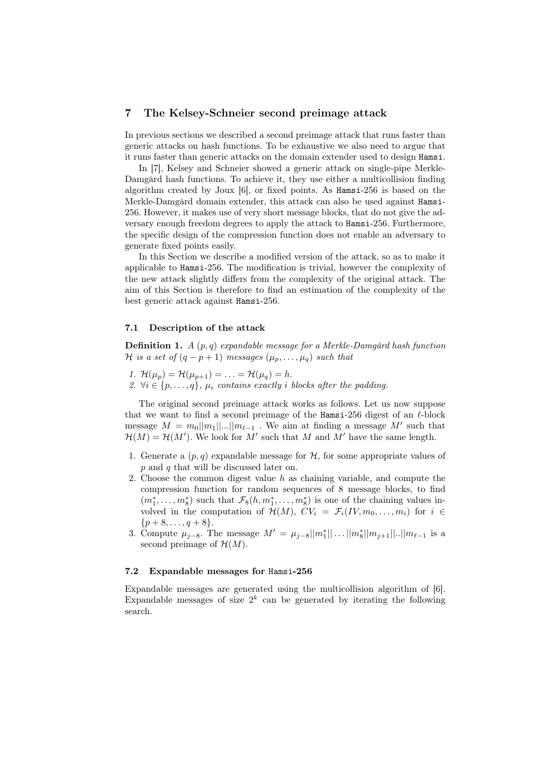## 7 The Kelsey-Schneier second preimage attack

In previous sections we described a second preimage attack that runs faster than generic attacks on hash functions. To be exhaustive we also need to argue that it runs faster than generic attacks on the domain extender used to design Hamsi.

In [7], Kelsey and Schneier showed a generic attack on single-pipe Merkle-Damgård hash functions. To achieve it, they use either a multicollision finding algorithm created by Joux [6], or fixed points. As Hamsi-256 is based on the Merkle-Damgård domain extender, this attack can also be used against Hamsi-256. However, it makes use of very short message blocks, that do not give the adversary enough freedom degrees to apply the attack to Hamsi-256. Furthermore, the specific design of the compression function does not enable an adversary to generate fixed points easily.

In this Section we describe a modified version of the attack, so as to make it applicable to Hamsi-256. The modification is trivial, however the complexity of the new attack slightly differs from the complexity of the original attack. The aim of this Section is therefore to find an estimation of the complexity of the best generic attack against Hamsi-256.

## 7.1 Description of the attack

**Definition 1.** A  $(p, q)$  expandable message for a Merkle-Damgård hash function H is a set of  $(q - p + 1)$  messages  $(\mu_p, \ldots, \mu_q)$  such that

1.  $\mathcal{H}(\mu_p) = \mathcal{H}(\mu_{p+1}) = \ldots = \mathcal{H}(\mu_q) = h.$ 

2.  $\forall i \in \{p, \ldots, q\}, \mu_i$  contains exactly i blocks after the padding.

The original second preimage attack works as follows. Let us now suppose that we want to find a second preimage of the Hamsi-256 digest of an  $\ell$ -block message  $M = m_0||m_1||...||m_{\ell-1}$ . We aim at finding a message  $M'$  such that  $\mathcal{H}(M) = \mathcal{H}(M')$ . We look for M' such that M and M' have the same length.

- 1. Generate a  $(p, q)$  expandable message for  $H$ , for some appropriate values of p and q that will be discussed later on.
- 2. Choose the common digest value h as chaining variable, and compute the compression function for random sequences of 8 message blocks, to find  $(m_1^*, \ldots, m_8^*)$  such that  $\mathcal{F}_8(h, m_1^*, \ldots, m_8^*)$  is one of the chaining values involved in the computation of  $\mathcal{H}(M)$ ,  $CV_i = \mathcal{F}_i(IV, m_0, \ldots, m_i)$  for  $i \in$  $\{p+8,\ldots,q+8\}.$
- 3. Compute  $\mu_{j-8}$ . The message  $M' = \mu_{j-8} ||m_1^*|| \dots ||m_8^*|| m_{j+1}|| \dots ||m_{\ell-1}$  is a second preimage of  $\mathcal{H}(M)$ .

#### 7.2 Expandable messages for Hamsi-256

Expandable messages are generated using the multicollision algorithm of [6]. Expandable messages of size  $2^k$  can be generated by iterating the following search.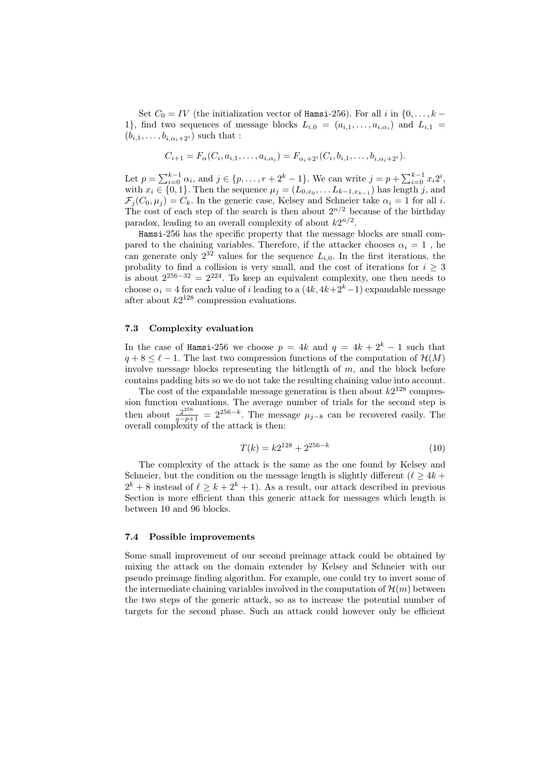Set  $C_0 = IV$  (the initialization vector of Hamsi-256). For all i in  $\{0, \ldots, k -$ 1}, find two sequences of message blocks  $L_{i,0} = (a_{i,1}, \ldots, a_{i,\alpha_i})$  and  $L_{i,1} =$  $(b_{i,1}, \ldots, b_{i,\alpha_i+2^i})$  such that :

$$
C_{i+1} = F_{\alpha}(C_i, a_{i,1}, \dots, a_{i,\alpha_i}) = F_{\alpha_i+2^i}(C_i, b_{i,1}, \dots, b_{i,\alpha_i+2^i}).
$$

Let  $p = \sum_{i=0}^{k-1} \alpha_i$ , and  $j \in \{p, \ldots, r + 2^k - 1\}$ . We can write  $j = p + \sum_{i=0}^{k-1} x_i 2^i$ , with  $x_i \in \{0, 1\}$ . Then the sequence  $\mu_j = (L_{0,x_0}, \dots L_{k-1,x_{k-1}})$  has length j, and  $\mathcal{F}_j(C_0,\mu_j) = C_k$ . In the generic case, Kelsey and Schneier take  $\alpha_i = 1$  for all i. The cost of each step of the search is then about  $2^{n/2}$  because of the birthday paradox, leading to an overall complexity of about  $k2^{n/2}$ .

Hamsi-256 has the specific property that the message blocks are small compared to the chaining variables. Therefore, if the attacker chooses  $\alpha_i = 1$  , he can generate only  $2^{32}$  values for the sequence  $L_{i,0}$ . In the first iterations, the probality to find a collision is very small, and the cost of iterations for  $i \geq 3$ is about  $2^{256-32} = 2^{224}$ . To keep an equivalent complexity, one then needs to choose  $\alpha_i = 4$  for each value of i leading to a  $(4k, 4k+2<sup>k</sup>-1)$  expandable message after about  $k2^{128}$  compression evaluations.

## 7.3 Complexity evaluation

In the case of Hamsi-256 we choose  $p = 4k$  and  $q = 4k + 2<sup>k</sup> - 1$  such that  $q + 8 \leq \ell - 1$ . The last two compression functions of the computation of  $\mathcal{H}(M)$ involve message blocks representing the bitlength of  $m$ , and the block before contains padding bits so we do not take the resulting chaining value into account.

The cost of the expandable message generation is then about  $k2^{128}$  compression function evaluations. The average number of trials for the second step is then about  $\frac{2^{256}}{q-p+1} = 2^{256-k}$ . The message  $\mu_{j-8}$  can be recovered easily. The overall complexity of the attack is then:

$$
T(k) = k2^{128} + 2^{256 - k} \tag{10}
$$

The complexity of the attack is the same as the one found by Kelsey and Schneier, but the condition on the message length is slightly different  $(\ell > 4k +$  $2^k + 8$  instead of  $\ell \geq k + 2^k + 1$ ). As a result, our attack described in previous Section is more efficient than this generic attack for messages which length is between 10 and 96 blocks.

#### 7.4 Possible improvements

Some small improvement of our second preimage attack could be obtained by mixing the attack on the domain extender by Kelsey and Schneier with our pseudo preimage finding algorithm. For example, one could try to invert some of the intermediate chaining variables involved in the computation of  $\mathcal{H}(m)$  between the two steps of the generic attack, so as to increase the potential number of targets for the second phase. Such an attack could however only be efficient